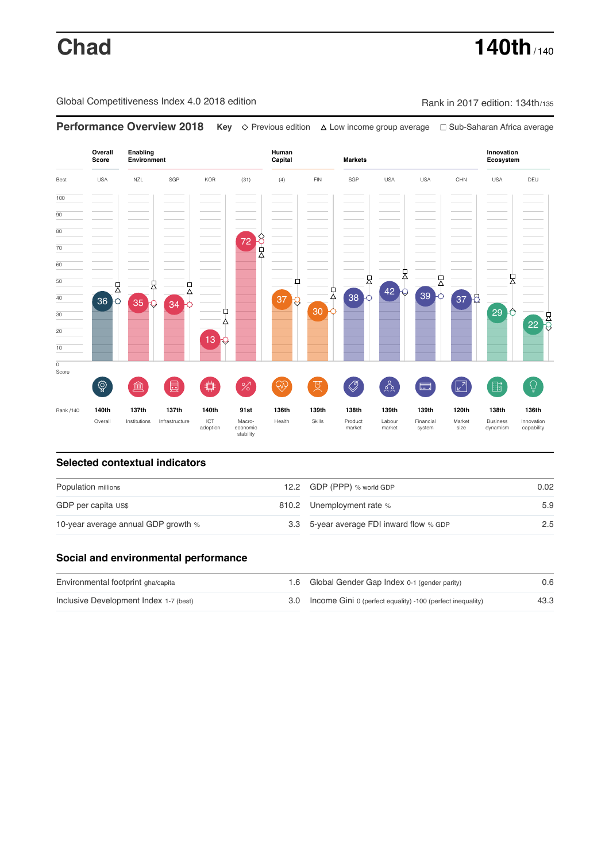# **Chad 140th** / 140th

Global Competitiveness Index 4.0 2018 edition Rank in 2017 edition: 134th/135



### **Selected contextual indicators**

| Population millions                 |  | 12.2 GDP (PPP) % world GDP               |                  |
|-------------------------------------|--|------------------------------------------|------------------|
| GDP per capita US\$                 |  | 810.2 Unemployment rate %                | 5.9              |
| 10-year average annual GDP growth % |  | 3.3 5-year average FDI inward flow % GDP | $2.5\phantom{0}$ |

### **Social and environmental performance**

| Environmental footprint gha/capita     |  | 1.6 Global Gender Gap Index 0-1 (gender parity)                | 0.6  |
|----------------------------------------|--|----------------------------------------------------------------|------|
| Inclusive Development Index 1-7 (best) |  | 3.0 Income Gini 0 (perfect equality) -100 (perfect inequality) | 43.3 |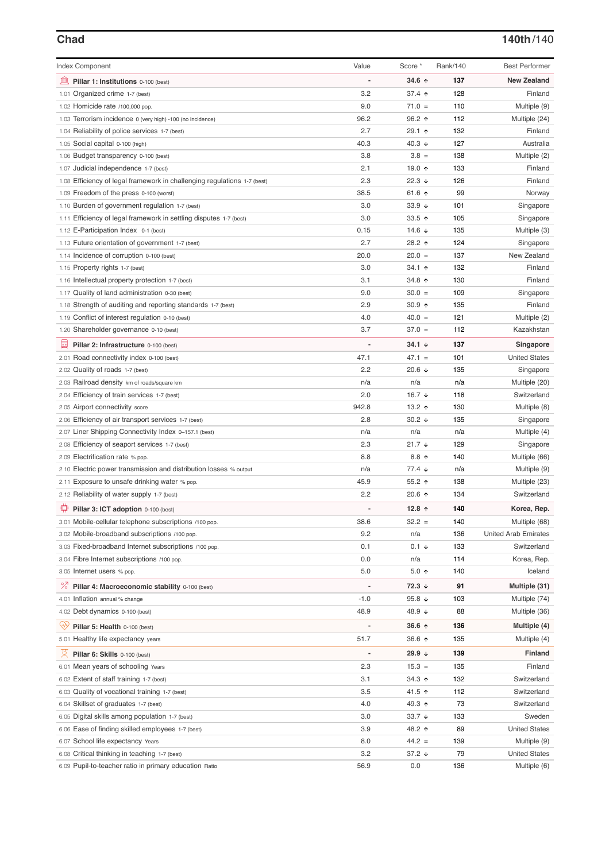# **Chad 140th**/140

| <b>Index Component</b>                                                   | Value          | Score *              | Rank/140 | <b>Best Performer</b>       |
|--------------------------------------------------------------------------|----------------|----------------------|----------|-----------------------------|
| 皿<br>Pillar 1: Institutions 0-100 (best)                                 |                | 34.6 ↑               | 137      | <b>New Zealand</b>          |
| 1.01 Organized crime 1-7 (best)                                          | 3.2            | 37.4 $\uparrow$      | 128      | Finland                     |
| 1.02 Homicide rate /100,000 pop.                                         | 9.0            | $71.0 =$             | 110      | Multiple (9)                |
| 1.03 Terrorism incidence 0 (very high) -100 (no incidence)               | 96.2           | $96.2$ ↑             | 112      | Multiple (24)               |
| 1.04 Reliability of police services 1-7 (best)                           | 2.7            | 29.1 ↑               | 132      | Finland                     |
| 1.05 Social capital 0-100 (high)                                         | 40.3           | 40.3 $\sqrt{ }$      | 127      | Australia                   |
| 1.06 Budget transparency 0-100 (best)                                    | 3.8            | $3.8 =$              | 138      | Multiple (2)                |
| 1.07 Judicial independence 1-7 (best)                                    | 2.1            | 19.0 ↑               | 133      | Finland                     |
| 1.08 Efficiency of legal framework in challenging regulations 1-7 (best) | 2.3            | $22.3 +$             | 126      | Finland                     |
| 1.09 Freedom of the press 0-100 (worst)                                  | 38.5           | 61.6 $\uparrow$      | 99       | Norway                      |
| 1.10 Burden of government regulation 1-7 (best)                          | 3.0            | 33.9 $\sqrt{ }$      | 101      | Singapore                   |
| 1.11 Efficiency of legal framework in settling disputes 1-7 (best)       | 3.0            | 33.5 $\uparrow$      | 105      | Singapore                   |
| 1.12 E-Participation Index 0-1 (best)                                    | 0.15           | 14.6 $\sqrt{ }$      | 135      | Multiple (3)                |
| 1.13 Future orientation of government 1-7 (best)                         | 2.7            | 28.2 ↑               | 124      | Singapore                   |
| 1.14 Incidence of corruption 0-100 (best)                                | 20.0           | $20.0 =$             | 137      | New Zealand                 |
| 1.15 Property rights 1-7 (best)                                          | 3.0            | 34.1 $\uparrow$      | 132      | Finland                     |
| 1.16 Intellectual property protection 1-7 (best)                         | 3.1            | 34.8 ↑               | 130      | Finland                     |
| 1.17 Quality of land administration 0-30 (best)                          | 9.0            | $30.0 =$             | 109      | Singapore                   |
| 1.18 Strength of auditing and reporting standards 1-7 (best)             | 2.9            | 30.9 $\uparrow$      | 135      | Finland                     |
| 1.19 Conflict of interest regulation 0-10 (best)                         | 4.0            | $40.0 =$             | 121      | Multiple (2)                |
| 1.20 Shareholder governance 0-10 (best)                                  | 3.7            | $37.0 =$             | 112      | Kazakhstan                  |
|                                                                          |                |                      |          |                             |
| 曼<br>Pillar 2: Infrastructure 0-100 (best)                               |                | $34.1 +$             | 137      | Singapore                   |
| 2.01 Road connectivity index 0-100 (best)                                | 47.1           | $47.1 =$             | 101      | <b>United States</b>        |
| 2.02 Quality of roads 1-7 (best)                                         | 2.2            | 20.6 $\sqrt{ }$      | 135      | Singapore                   |
| 2.03 Railroad density km of roads/square km                              | n/a            | n/a                  | n/a      | Multiple (20)               |
| 2.04 Efficiency of train services 1-7 (best)                             | 2.0            | 16.7 $\sqrt{ }$      | 118      | Switzerland                 |
| 2.05 Airport connectivity score                                          | 942.8          | 13.2 $\uparrow$      | 130      | Multiple (8)                |
| 2.06 Efficiency of air transport services 1-7 (best)                     | 2.8            | 30.2 $\sqrt{ }$      | 135      | Singapore                   |
| 2.07 Liner Shipping Connectivity Index 0-157.1 (best)                    | n/a            | n/a                  | n/a      | Multiple (4)                |
| 2.08 Efficiency of seaport services 1-7 (best)                           | 2.3            | $21.7 +$             | 129      | Singapore                   |
| 2.09 Electrification rate % pop.                                         | 8.8            | $8.8$ ↑              | 140      | Multiple (66)               |
| 2.10 Electric power transmission and distribution losses % output        | n/a            | $77.4 \; \downarrow$ | n/a      | Multiple (9)                |
| 2.11 Exposure to unsafe drinking water % pop.                            | 45.9           | 55.2 $\uparrow$      | 138      | Multiple (23)               |
| 2.12 Reliability of water supply 1-7 (best)                              | 2.2            | 20.6 $\uparrow$      | 134      | Switzerland                 |
| ₽<br>Pillar 3: ICT adoption 0-100 (best)                                 | $\overline{a}$ | 12.8 $\uparrow$      | 140      | Korea, Rep.                 |
| 3.01 Mobile-cellular telephone subscriptions /100 pop.                   | 38.6           | $32.2 =$             | 140      | Multiple (68)               |
| 3.02 Mobile-broadband subscriptions /100 pop.                            | 9.2            | n/a                  | 136      | <b>United Arab Emirates</b> |
| 3.03 Fixed-broadband Internet subscriptions /100 pop.                    | 0.1            | $0.1 \div$           | 133      | Switzerland                 |
| 3.04 Fibre Internet subscriptions /100 pop.                              | 0.0            | n/a                  | 114      | Korea, Rep.                 |
| 3.05 Internet users % pop.                                               | 5.0            | $5.0$ ↑              | 140      | Iceland                     |
| <sup>%</sup> Pillar 4: Macroeconomic stability 0-100 (best)              | $\overline{a}$ | $72.3 +$             | 91       | Multiple (31)               |
| 4.01 Inflation annual % change                                           | $-1.0$         | 95.8 $\sqrt{ }$      | 103      | Multiple (74)               |
| 4.02 Debt dynamics 0-100 (best)                                          | 48.9           | 48.9 ↓               | 88       | Multiple (36)               |
|                                                                          |                |                      |          |                             |
| Qiy<br>Pillar 5: Health 0-100 (best)                                     |                | $36.6 \; \uparrow$   | 136      | Multiple (4)                |
| 5.01 Healthy life expectancy years                                       | 51.7           | 36.6 $\uparrow$      | 135      | Multiple (4)                |
| Pillar 6: Skills 0-100 (best)                                            |                | 29.9 $\sqrt{ }$      | 139      | <b>Finland</b>              |
| 6.01 Mean years of schooling Years                                       | 2.3            | $15.3 =$             | 135      | Finland                     |
| 6.02 Extent of staff training 1-7 (best)                                 | 3.1            | 34.3 $\uparrow$      | 132      | Switzerland                 |
| 6.03 Quality of vocational training 1-7 (best)                           | 3.5            | 41.5 $\uparrow$      | 112      | Switzerland                 |
| 6.04 Skillset of graduates 1-7 (best)                                    | 4.0            | 49.3 ↑               | 73       | Switzerland                 |
| 6.05 Digital skills among population 1-7 (best)                          | 3.0            | 33.7 $\sqrt{ }$      | 133      | Sweden                      |
| 6.06 Ease of finding skilled employees 1-7 (best)                        | 3.9            | 48.2 ↑               | 89       | <b>United States</b>        |
| 6.07 School life expectancy Years                                        | 8.0            | $44.2 =$             | 139      | Multiple (9)                |
| 6.08 Critical thinking in teaching 1-7 (best)                            | 3.2            | 37.2 $\downarrow$    | 79       | <b>United States</b>        |
| 6.09 Pupil-to-teacher ratio in primary education Ratio                   | 56.9           | 0.0                  | 136      | Multiple (6)                |